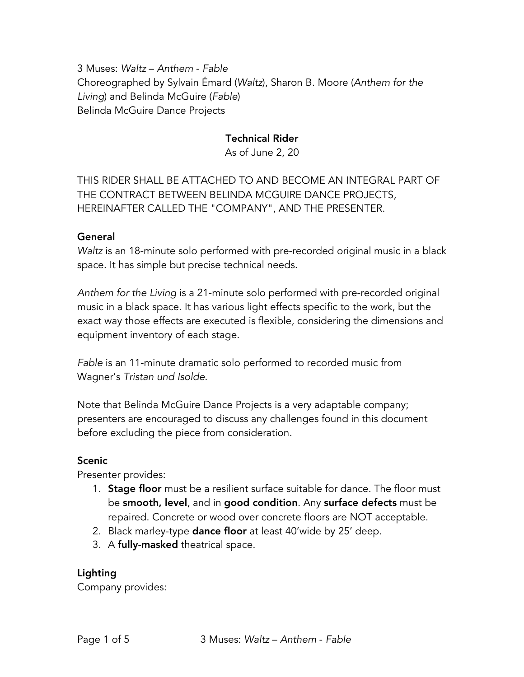3 Muses: *Waltz* – *Anthem* - *Fable* Choreographed by Sylvain Émard (*Waltz*), Sharon B. Moore (*Anthem for the Living*) and Belinda McGuire (*Fable*) Belinda McGuire Dance Projects

## Technical Rider

As of June 2, 20

THIS RIDER SHALL BE ATTACHED TO AND BECOME AN INTEGRAL PART OF THE CONTRACT BETWEEN BELINDA MCGUIRE DANCE PROJECTS, HEREINAFTER CALLED THE "COMPANY", AND THE PRESENTER.

#### General

*Waltz* is an 18-minute solo performed with pre-recorded original music in a black space. It has simple but precise technical needs.

*Anthem for the Living* is a 21-minute solo performed with pre-recorded original music in a black space. It has various light effects specific to the work, but the exact way those effects are executed is flexible, considering the dimensions and equipment inventory of each stage.

*Fable* is an 11-minute dramatic solo performed to recorded music from Wagner's *Tristan und Isolde*.

Note that Belinda McGuire Dance Projects is a very adaptable company; presenters are encouraged to discuss any challenges found in this document before excluding the piece from consideration.

#### Scenic

Presenter provides:

- 1. Stage floor must be a resilient surface suitable for dance. The floor must be smooth, level, and in good condition. Any surface defects must be repaired. Concrete or wood over concrete floors are NOT acceptable.
- 2. Black marley-type dance floor at least 40'wide by 25' deep.
- 3. A fully-masked theatrical space.

#### Lighting

Company provides: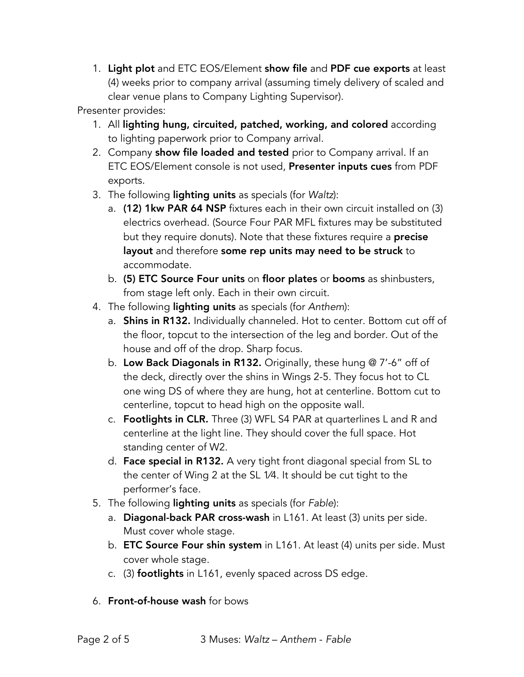1. Light plot and ETC EOS/Element show file and PDF cue exports at least (4) weeks prior to company arrival (assuming timely delivery of scaled and clear venue plans to Company Lighting Supervisor).

Presenter provides:

- 1. All lighting hung, circuited, patched, working, and colored according to lighting paperwork prior to Company arrival.
- 2. Company show file loaded and tested prior to Company arrival. If an ETC EOS/Element console is not used, Presenter inputs cues from PDF exports.
- 3. The following lighting units as specials (for *Waltz*):
	- a. (12) 1kw PAR 64 NSP fixtures each in their own circuit installed on (3) electrics overhead. (Source Four PAR MFL fixtures may be substituted but they require donuts). Note that these fixtures require a **precise** layout and therefore some rep units may need to be struck to accommodate.
	- b. (5) ETC Source Four units on floor plates or booms as shinbusters, from stage left only. Each in their own circuit.
- 4. The following lighting units as specials (for *Anthem*):
	- a. **Shins in R132.** Individually channeled. Hot to center. Bottom cut off of the floor, topcut to the intersection of the leg and border. Out of the house and off of the drop. Sharp focus.
	- b. Low Back Diagonals in R132. Originally, these hung @ 7'-6" off of the deck, directly over the shins in Wings 2-5. They focus hot to CL one wing DS of where they are hung, hot at centerline. Bottom cut to centerline, topcut to head high on the opposite wall.
	- c. Footlights in CLR. Three (3) WFL S4 PAR at quarterlines L and R and centerline at the light line. They should cover the full space. Hot standing center of W2.
	- d. Face special in R132. A very tight front diagonal special from SL to the center of Wing 2 at the SL 1⁄4. It should be cut tight to the performer's face.
- 5. The following lighting units as specials (for *Fable*):
	- a. Diagonal-back PAR cross-wash in L161. At least (3) units per side. Must cover whole stage.
	- b. ETC Source Four shin system in L161. At least (4) units per side. Must cover whole stage.
	- c. (3) footlights in L161, evenly spaced across DS edge.
- 6. Front-of-house wash for bows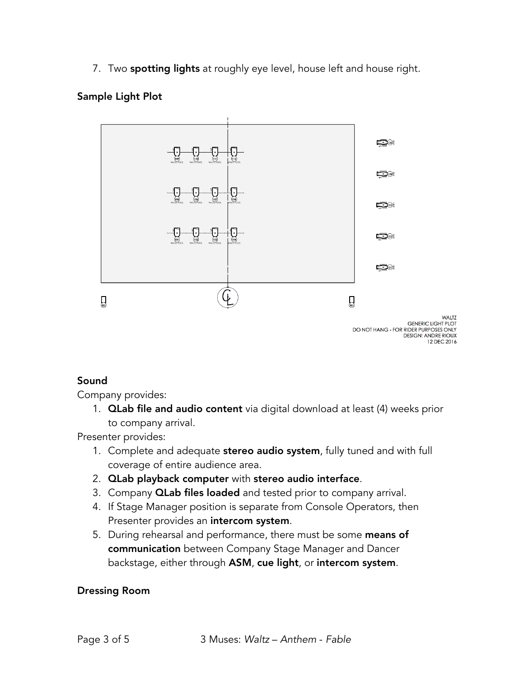7. Two spotting lights at roughly eye level, house left and house right.

## Sample Light Plot



# Sound

Company provides:

1. **QLab file and audio content** via digital download at least (4) weeks prior to company arrival.

Presenter provides:

- 1. Complete and adequate stereo audio system, fully tuned and with full coverage of entire audience area.
- 2. QLab playback computer with stereo audio interface.
- 3. Company **QLab files loaded** and tested prior to company arrival.
- 4. If Stage Manager position is separate from Console Operators, then Presenter provides an intercom system.
- 5. During rehearsal and performance, there must be some means of communication between Company Stage Manager and Dancer backstage, either through ASM, cue light, or intercom system.

#### Dressing Room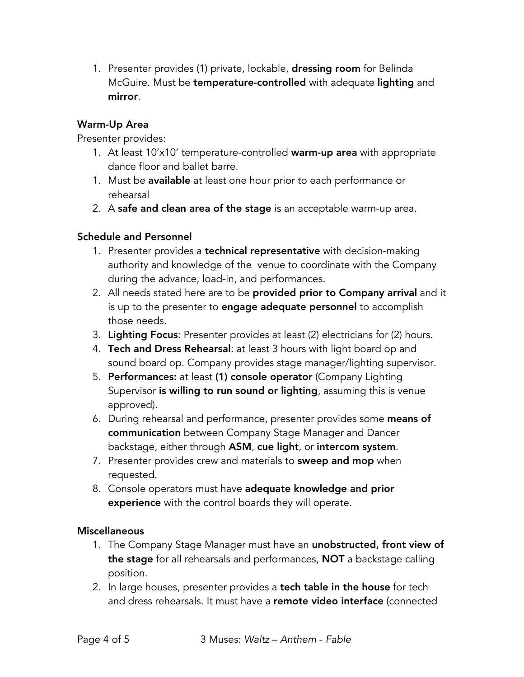1. Presenter provides (1) private, lockable, **dressing room** for Belinda McGuire. Must be temperature-controlled with adequate lighting and mirror.

## Warm-Up Area

Presenter provides:

- 1. At least 10'x10' temperature-controlled warm-up area with appropriate dance floor and ballet barre.
- 1. Must be available at least one hour prior to each performance or rehearsal
- 2. A safe and clean area of the stage is an acceptable warm-up area.

# Schedule and Personnel

- 1. Presenter provides a **technical representative** with decision-making authority and knowledge of the venue to coordinate with the Company during the advance, load-in, and performances.
- 2. All needs stated here are to be provided prior to Company arrival and it is up to the presenter to **engage adequate personnel** to accomplish those needs.
- 3. Lighting Focus: Presenter provides at least (2) electricians for (2) hours.
- 4. Tech and Dress Rehearsal: at least 3 hours with light board op and sound board op. Company provides stage manager/lighting supervisor.
- 5. Performances: at least (1) console operator (Company Lighting Supervisor is willing to run sound or lighting, assuming this is venue approved).
- 6. During rehearsal and performance, presenter provides some means of communication between Company Stage Manager and Dancer backstage, either through ASM, cue light, or intercom system.
- 7. Presenter provides crew and materials to **sweep and mop** when requested.
- 8. Console operators must have adequate knowledge and prior experience with the control boards they will operate.

#### **Miscellaneous**

- 1. The Company Stage Manager must have an unobstructed, front view of the stage for all rehearsals and performances, NOT a backstage calling position.
- 2. In large houses, presenter provides a tech table in the house for tech and dress rehearsals. It must have a remote video interface (connected